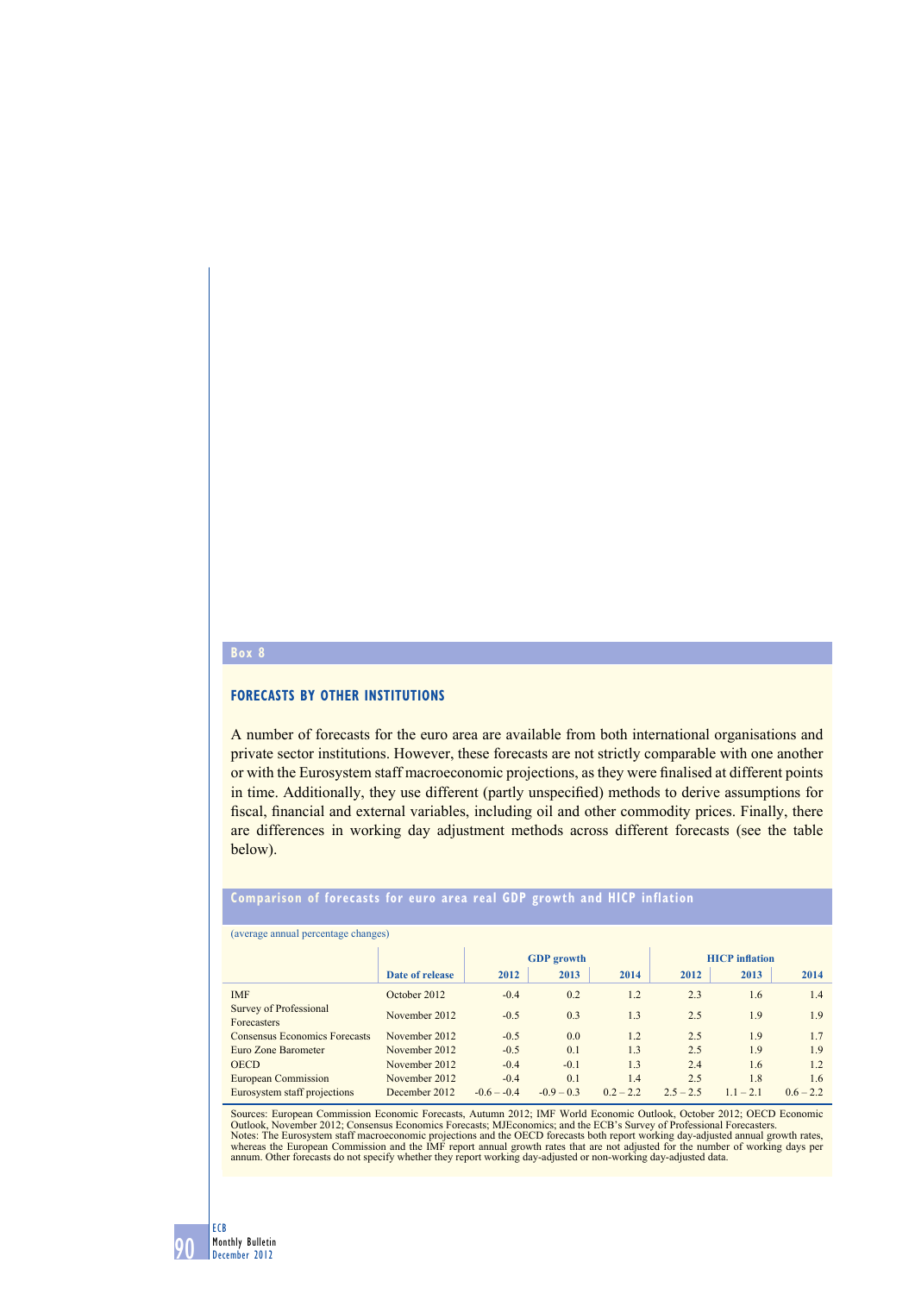#### **Box 8**

# **Forecasts by other institutions**

A number of forecasts for the euro area are available from both international organisations and private sector institutions. However, these forecasts are not strictly comparable with one another or with the Eurosystem staff macroeconomic projections, as they were finalised at different points in time. Additionally, they use different (partly unspecified) methods to derive assumptions for fiscal, financial and external variables, including oil and other commodity prices. Finally, there are differences in working day adjustment methods across different forecasts (see the table below).

# **Comparison of forecasts for euro area real GDP growth and HICP inflation**

#### (average annual percentage changes)

|                                       |                 | <b>GDP</b> growth |              |             | <b>HICP</b> inflation |             |             |
|---------------------------------------|-----------------|-------------------|--------------|-------------|-----------------------|-------------|-------------|
|                                       | Date of release | 2012              | 2013         | 2014        | 2012                  | 2013        | 2014        |
| <b>IMF</b>                            | October 2012    | $-0.4$            | 0.2          | 1.2         | 2.3                   | 1.6         | 1.4         |
| Survey of Professional<br>Forecasters | November 2012   | $-0.5$            | 0.3          | 1.3         | 2.5                   | 1.9         | 1.9         |
| <b>Consensus Economics Forecasts</b>  | November 2012   | $-0.5$            | 0.0          | 1.2         | 2.5                   | 1.9         | 1.7         |
| Euro Zone Barometer                   | November 2012   | $-0.5$            | 0.1          | 1.3         | 2.5                   | 1.9         | 1.9         |
| <b>OECD</b>                           | November 2012   | $-0.4$            | $-0.1$       | 1.3         | 2.4                   | 1.6         | 1.2         |
| <b>European Commission</b>            | November 2012   | $-0.4$            | 0.1          | 1.4         | 2.5                   | 1.8         | 1.6         |
| Eurosystem staff projections          | December 2012   | $-0.6 - -0.4$     | $-0.9 - 0.3$ | $0.2 - 2.2$ | $2.5 - 2.5$           | $1.1 - 2.1$ | $0.6 - 2.2$ |

Sources: European Commission Economic Forecasts, Autumn 2012; IMF World Economic Outlook, October 2012; OECD Economic Outlook, November 2012; Consensus Economics Forecasts; MJEconomics; and the ECB's Survey of Professional